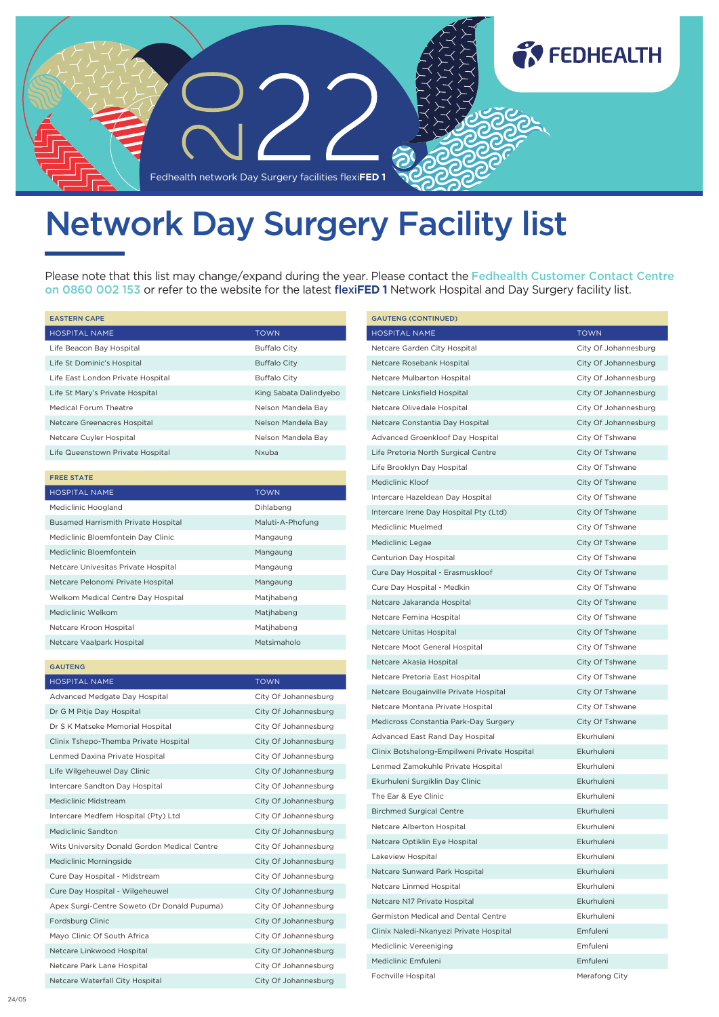

## Network Day Surgery Facility list

EASTERN CAPE

24/05

Please note that this list may change/expand during the year. Please contact the Fedhealth Customer Contact Centre on 0860 002 153 or refer to the website for the latest flexi**FED 1** Network Hospital and Day Surgery facility list.

GAUTENG (CONTINUED)

| HOSPITAL NAME                                | <b>TOWN</b>            | <b>HOSPITAL NAME</b>                         | <b>TOWN</b>          |
|----------------------------------------------|------------------------|----------------------------------------------|----------------------|
| Life Beacon Bay Hospital                     | <b>Buffalo City</b>    | Netcare Garden City Hospital                 | City Of Johannesburg |
| Life St Dominic's Hospital                   | <b>Buffalo City</b>    | Netcare Rosebank Hospital                    | City Of Johannesburg |
| Life East London Private Hospital            | <b>Buffalo City</b>    | Netcare Mulbarton Hospital                   | City Of Johannesburg |
| Life St Mary's Private Hospital              | King Sabata Dalindyebo | Netcare Linksfield Hospital                  | City Of Johannesburg |
| Medical Forum Theatre                        | Nelson Mandela Bay     | Netcare Olivedale Hospital                   | City Of Johannesburg |
| Netcare Greenacres Hospital                  | Nelson Mandela Bay     | Netcare Constantia Day Hospital              | City Of Johannesburg |
| Netcare Cuyler Hospital                      | Nelson Mandela Bay     | Advanced Groenkloof Day Hospital             | City Of Tshwane      |
| Life Queenstown Private Hospital             | Nxuba                  | Life Pretoria North Surgical Centre          | City Of Tshwane      |
|                                              |                        | Life Brooklyn Day Hospital                   | City Of Tshwane      |
| <b>FREE STATE</b>                            |                        | Mediclinic Kloof                             | City Of Tshwane      |
| HOSPITAL NAME                                | <b>TOWN</b>            | Intercare Hazeldean Day Hospital             | City Of Tshwane      |
| Mediclinic Hoogland                          | Dihlabeng              | Intercare Irene Day Hospital Pty (Ltd)       | City Of Tshwane      |
| <b>Busamed Harrismith Private Hospital</b>   | Maluti-A-Phofung       | Mediclinic Muelmed                           | City Of Tshwane      |
| Mediclinic Bloemfontein Day Clinic           | Mangaung               | Mediclinic Legae                             | City Of Tshwane      |
| Mediclinic Bloemfontein                      | Mangaung               | Centurion Day Hospital                       | City Of Tshwane      |
| Netcare Univesitas Private Hospital          | Mangaung               | Cure Day Hospital - Erasmuskloof             | City Of Tshwane      |
| Netcare Pelonomi Private Hospital            | Mangaung               | Cure Day Hospital - Medkin                   | City Of Tshwane      |
| Welkom Medical Centre Day Hospital           | Matjhabeng             | Netcare Jakaranda Hospital                   | City Of Tshwane      |
| Mediclinic Welkom                            | Matjhabeng             | Netcare Femina Hospital                      | City Of Tshwane      |
| Netcare Kroon Hospital                       | Matjhabeng             | Netcare Unitas Hospital                      | City Of Tshwane      |
| Netcare Vaalpark Hospital                    | Metsimaholo            | Netcare Moot General Hospital                | City Of Tshwane      |
| <b>GAUTENG</b>                               |                        | Netcare Akasia Hospital                      | City Of Tshwane      |
| <b>HOSPITAL NAME</b>                         | <b>TOWN</b>            | Netcare Pretoria East Hospital               | City Of Tshwane      |
| Advanced Medgate Day Hospital                | City Of Johannesburg   | Netcare Bougainville Private Hospital        | City Of Tshwane      |
| Dr G M Pitje Day Hospital                    | City Of Johannesburg   | Netcare Montana Private Hospital             | City Of Tshwane      |
| Dr S K Matseke Memorial Hospital             | City Of Johannesburg   | Medicross Constantia Park-Day Surgery        | City Of Tshwane      |
| Clinix Tshepo-Themba Private Hospital        | City Of Johannesburg   | Advanced East Rand Day Hospital              | Ekurhuleni           |
| Lenmed Daxina Private Hospital               | City Of Johannesburg   | Clinix Botshelong-Empilweni Private Hospital | Ekurhuleni           |
| Life Wilgeheuwel Day Clinic                  | City Of Johannesburg   | Lenmed Zamokuhle Private Hospital            | Ekurhuleni           |
| Intercare Sandton Day Hospital               | City Of Johannesburg   | Ekurhuleni Surgiklin Day Clinic              | Ekurhuleni           |
| <b>Mediclinic Midstream</b>                  | City Of Johannesburg   | The Ear & Eye Clinic                         | Ekurhuleni           |
| Intercare Medfem Hospital (Pty) Ltd          | City Of Johannesburg   | <b>Birchmed Surgical Centre</b>              | Ekurhuleni           |
| Mediclinic Sandton                           | City Of Johannesburg   | Netcare Alberton Hospital                    | Ekurhuleni           |
| Wits University Donald Gordon Medical Centre | City Of Johannesburg   | Netcare Optiklin Eye Hospital                | Ekurhuleni           |
| Mediclinic Morningside                       | City Of Johannesburg   | Lakeview Hospital                            | Ekurhuleni           |
| Cure Day Hospital - Midstream                | City Of Johannesburg   | Netcare Sunward Park Hospital                | Ekurhuleni           |
| Cure Day Hospital - Wilgeheuwel              | City Of Johannesburg   | Netcare Linmed Hospital                      | Ekurhuleni           |
| Apex Surgi-Centre Soweto (Dr Donald Pupuma)  | City Of Johannesburg   | Netcare N17 Private Hospital                 | Ekurhuleni           |
| Fordsburg Clinic                             | City Of Johannesburg   | Germiston Medical and Dental Centre          | Ekurhuleni           |
| Mayo Clinic Of South Africa                  | City Of Johannesburg   | Clinix Naledi-Nkanyezi Private Hospital      | Emfuleni             |
| Netcare Linkwood Hospital                    | City Of Johannesburg   | Mediclinic Vereeniging                       | Emfuleni             |
|                                              |                        |                                              |                      |
| Netcare Park Lane Hospital                   | City Of Johannesburg   | Mediclinic Emfuleni                          | Emfuleni             |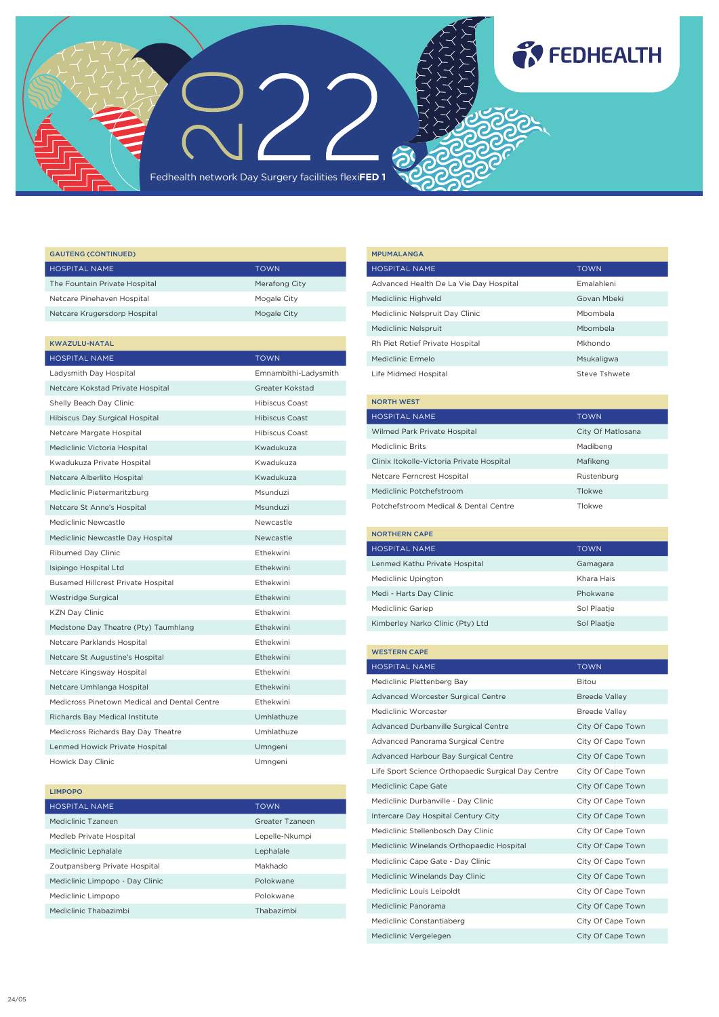

| <b>GAUTENG (CONTINUED)</b>                   |                       |
|----------------------------------------------|-----------------------|
| <b>HOSPITAL NAME</b>                         | <b>TOWN</b>           |
| The Fountain Private Hospital                | Merafong City         |
| Netcare Pinehaven Hospital                   | Mogale City           |
| Netcare Krugersdorp Hospital                 | Mogale City           |
|                                              |                       |
| <b>KWAZULU-NATAL</b>                         |                       |
| <b>HOSPITAL NAME</b>                         | <b>TOWN</b>           |
| Ladysmith Day Hospital                       | Emnambithi-Ladysmith  |
| Netcare Kokstad Private Hospital             | Greater Kokstad       |
| Shelly Beach Day Clinic                      | Hibiscus Coast        |
| Hibiscus Day Surgical Hospital               | <b>Hibiscus Coast</b> |
| Netcare Margate Hospital                     | <b>Hibiscus Coast</b> |
| Mediclinic Victoria Hospital                 | Kwadukuza             |
| Kwadukuza Private Hospital                   | Kwadukuza             |
| Netcare Alberlito Hospital                   | Kwadukuza             |
| Mediclinic Pietermaritzburg                  | Msunduzi              |
| Netcare St Anne's Hospital                   | Msunduzi              |
| <b>Mediclinic Newcastle</b>                  | Newcastle             |
| Mediclinic Newcastle Day Hospital            | Newcastle             |
| Ribumed Day Clinic                           | Ethekwini             |
| Isipingo Hospital Ltd                        | Ethekwini             |
| <b>Busamed Hillcrest Private Hospital</b>    | Ethekwini             |
| Westridge Surgical                           | Ethekwini             |
| <b>KZN Day Clinic</b>                        | Ethekwini             |
| Medstone Day Theatre (Pty) Taumhlang         | Ethekwini             |
| Netcare Parklands Hospital                   | Ethekwini             |
| Netcare St Augustine's Hospital              | Ethekwini             |
| Netcare Kingsway Hospital                    | Ethekwini             |
| Netcare Umhlanga Hospital                    | Ethekwini             |
| Medicross Pinetown Medical and Dental Centre | Ethekwini             |
| Richards Bay Medical Institute               | Umhlathuze            |
| Medicross Richards Bay Day Theatre           | Umhlathuze            |
| Lenmed Howick Private Hospital               | Umngeni               |
| Howick Day Clinic                            | Umngeni               |

| Advanced Health De La Vie Day Hospital             | Emalahleni           |
|----------------------------------------------------|----------------------|
| Mediclinic Highveld                                | Govan Mbeki          |
| Mediclinic Nelspruit Day Clinic                    | Mbombela             |
| Mediclinic Nelspruit                               | Mbombela             |
| Rh Piet Retief Private Hospital                    | Mkhondo              |
| Mediclinic Ermelo                                  | Msukaligwa           |
| Life Midmed Hospital                               | <b>Steve Tshwete</b> |
| <b>NORTH WEST</b>                                  |                      |
| <b>HOSPITAL NAME</b>                               | <b>TOWN</b>          |
| Wilmed Park Private Hospital                       | City Of Matlosana    |
| <b>Mediclinic Brits</b>                            | Madibeng             |
| Clinix Itokolle-Victoria Private Hospital          | Mafikeng             |
| Netcare Ferncrest Hospital                         | Rustenburg           |
| Mediclinic Potchefstroom                           | Tlokwe               |
| Potchefstroom Medical & Dental Centre              | Tlokwe               |
| <b>NORTHERN CAPE</b>                               |                      |
|                                                    |                      |
| HOSPITAL NAME                                      | <b>TOWN</b>          |
| Lenmed Kathu Private Hospital                      | Gamagara             |
| Mediclinic Upington                                | Khara Hais           |
| Medi - Harts Day Clinic                            | Phokwane             |
| <b>Mediclinic Gariep</b>                           | Sol Plaatje          |
| Kimberley Narko Clinic (Pty) Ltd                   | Sol Plaatje          |
|                                                    |                      |
| <b>WESTERN CAPE</b>                                |                      |
| <b>HOSPITAL NAME</b>                               | <b>TOWN</b>          |
| Mediclinic Plettenberg Bay                         | Bitou                |
| Advanced Worcester Surgical Centre                 | <b>Breede Valley</b> |
| Mediclinic Worcester                               | <b>Breede Valley</b> |
| Advanced Durbanville Surgical Centre               | City Of Cape Town    |
| Advanced Panorama Surgical Centre                  | City Of Cape Town    |
| Advanced Harbour Bay Surgical Centre               | City Of Cape Town    |
| Life Sport Science Orthopaedic Surgical Day Centre | City Of Cape Town    |
| <b>Mediclinic Cape Gate</b>                        | City Of Cape Town    |

Intercare Day Hospital Century City City City City Of Cape Town Mediclinic Stellenbosch Day Clinic City Of Cape Town Mediclinic Winelands Orthopaedic Hospital City Of Cape Town Mediclinic Cape Gate - Day Clinic City Of Cape Town Mediclinic Winelands Day Clinic City Of Cape Town Mediclinic Louis Leipoldt City Of Cape Town Mediclinic Panorama City Of Cape Town Mediclinic Constantiaberg City Of Cape Town Mediclinic Vergelegen City Of Cape Town

HOSPITAL NAME TOWN TOWN

**TO FEDHEALTH** 

MPUMALANGA

| <b>LIMPOPO</b> |  |  |
|----------------|--|--|
|                |  |  |
|                |  |  |

| <b>HOSPITAL NAME</b>            | <b>TOWN</b>     |
|---------------------------------|-----------------|
| Mediclinic Tzaneen              | Greater Tzaneen |
| Medleb Private Hospital         | Lepelle-Nkumpi  |
| Mediclinic Lephalale            | Lephalale       |
| Zoutpansberg Private Hospital   | Makhado         |
| Mediclinic Limpopo - Day Clinic | Polokwane       |
| Mediclinic Limpopo              | Polokwane       |
| Mediclinic Thabazimbi           | Thabazimbi      |